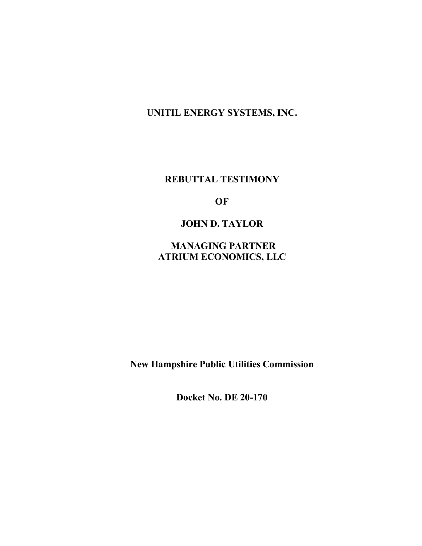**UNITIL ENERGY SYSTEMS, INC.**

**REBUTTAL TESTIMONY**

**OF**

**JOHN D. TAYLOR**

**MANAGING PARTNER ATRIUM ECONOMICS, LLC**

**New Hampshire Public Utilities Commission**

**Docket No. DE 20-170**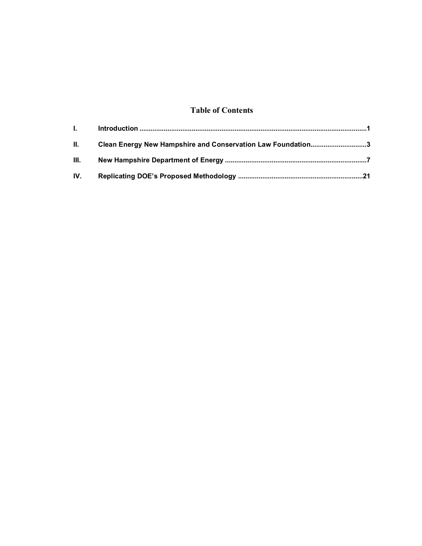### **Table of Contents**

| II. Clean Energy New Hampshire and Conservation Law Foundation3 |  |
|-----------------------------------------------------------------|--|
|                                                                 |  |
|                                                                 |  |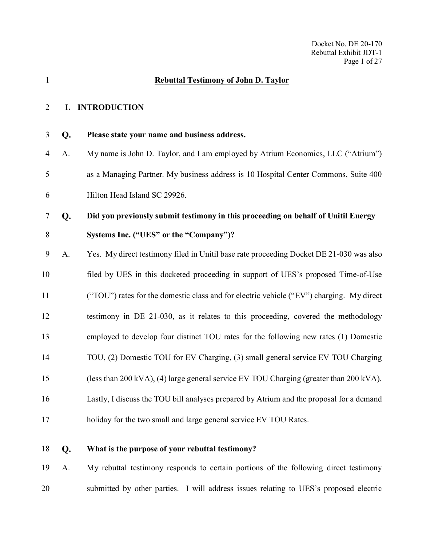# <span id="page-2-0"></span> **Rebuttal Testimony of John D. Taylor I. INTRODUCTION Please state your name and business address.** A. My name is John D. Taylor, and I am employed by Atrium Economics, LLC ("Atrium") as a Managing Partner. My business address is 10 Hospital Center Commons, Suite 400 Hilton Head Island SC 29926. **Did you previously submit testimony in this proceeding on behalf of Unitil Energy Systems Inc. ("UES" or the "Company")?** A. Yes. My direct testimony filed in Unitil base rate proceeding Docket DE 21-030 was also filed by UES in this docketed proceeding in support of UES's proposed Time-of-Use ("TOU") rates for the domestic class and for electric vehicle ("EV") charging. My direct testimony in DE 21-030, as it relates to this proceeding, covered the methodology employed to develop four distinct TOU rates for the following new rates (1) Domestic TOU, (2) Domestic TOU for EV Charging, (3) small general service EV TOU Charging (less than 200 kVA), (4) large general service EV TOU Charging (greater than 200 kVA). Lastly, I discuss the TOU bill analyses prepared by Atrium and the proposal for a demand holiday for the two small and large general service EV TOU Rates.

**What is the purpose of your rebuttal testimony?**

 A. My rebuttal testimony responds to certain portions of the following direct testimony submitted by other parties. I will address issues relating to UES's proposed electric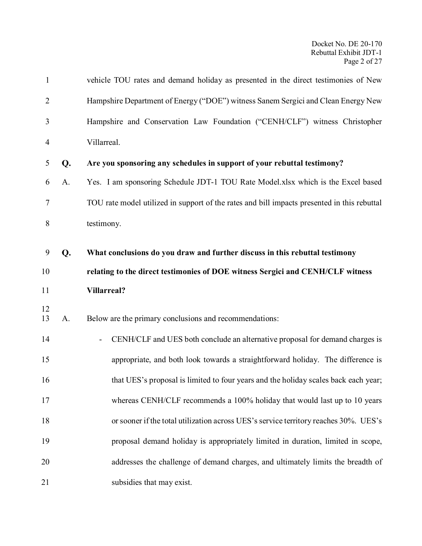| $\mathbf{1}$   |    | vehicle TOU rates and demand holiday as presented in the direct testimonies of New          |
|----------------|----|---------------------------------------------------------------------------------------------|
| $\overline{2}$ |    | Hampshire Department of Energy ("DOE") witness Sanem Sergici and Clean Energy New           |
| 3              |    | Hampshire and Conservation Law Foundation ("CENH/CLF") witness Christopher                  |
| 4              |    | Villarreal.                                                                                 |
| 5              | Q. | Are you sponsoring any schedules in support of your rebuttal testimony?                     |
| 6              | A. | Yes. I am sponsoring Schedule JDT-1 TOU Rate Model.xlsx which is the Excel based            |
| 7              |    | TOU rate model utilized in support of the rates and bill impacts presented in this rebuttal |
| 8              |    | testimony.                                                                                  |
| 9              |    | What conclusions do you draw and further discuss in this rebuttal testimony                 |
|                | Q. |                                                                                             |
| 10             |    | relating to the direct testimonies of DOE witness Sergici and CENH/CLF witness              |
| 11             |    | <b>Villarreal?</b>                                                                          |
| 12<br>13       | A. | Below are the primary conclusions and recommendations:                                      |
| 14             |    | CENH/CLF and UES both conclude an alternative proposal for demand charges is                |
| 15             |    | appropriate, and both look towards a straightforward holiday. The difference is             |
| 16             |    | that UES's proposal is limited to four years and the holiday scales back each year;         |
| 17             |    | whereas CENH/CLF recommends a 100% holiday that would last up to 10 years                   |
| 18             |    | or sooner if the total utilization across UES's service territory reaches 30%. UES's        |
| 19             |    | proposal demand holiday is appropriately limited in duration, limited in scope,             |
| 20             |    | addresses the challenge of demand charges, and ultimately limits the breadth of             |
| 21             |    | subsidies that may exist.                                                                   |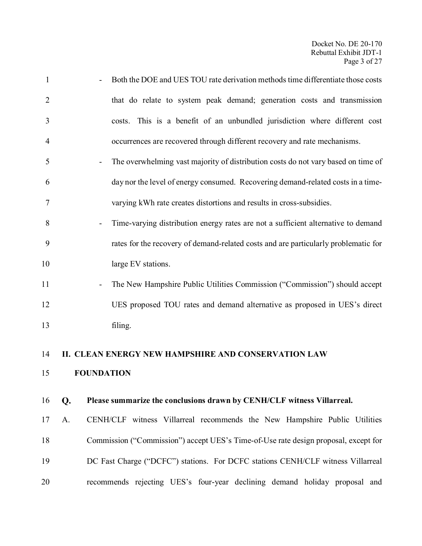<span id="page-4-0"></span>

| 1              |    | Both the DOE and UES TOU rate derivation methods time differentiate those costs                               |
|----------------|----|---------------------------------------------------------------------------------------------------------------|
| $\overline{2}$ |    | that do relate to system peak demand; generation costs and transmission                                       |
| 3              |    | costs. This is a benefit of an unbundled jurisdiction where different cost                                    |
| $\overline{4}$ |    | occurrences are recovered through different recovery and rate mechanisms.                                     |
| 5              |    | The overwhelming vast majority of distribution costs do not vary based on time of<br>$\overline{\phantom{a}}$ |
| 6              |    | day nor the level of energy consumed. Recovering demand-related costs in a time-                              |
| 7              |    | varying kWh rate creates distortions and results in cross-subsidies.                                          |
| 8              |    | Time-varying distribution energy rates are not a sufficient alternative to demand<br>$\overline{\phantom{0}}$ |
| 9              |    | rates for the recovery of demand-related costs and are particularly problematic for                           |
| 10             |    | large EV stations.                                                                                            |
| 11             |    | The New Hampshire Public Utilities Commission ("Commission") should accept                                    |
| 12             |    | UES proposed TOU rates and demand alternative as proposed in UES's direct                                     |
| 13             |    | filing.                                                                                                       |
| 14             |    | II. CLEAN ENERGY NEW HAMPSHIRE AND CONSERVATION LAW                                                           |
|                |    |                                                                                                               |
| 15             |    | <b>FOUNDATION</b>                                                                                             |
| 16             | Q. | Please summarize the conclusions drawn by CENH/CLF witness Villarreal.                                        |
| 17             | A. | CENH/CLF witness Villarreal recommends the New Hampshire Public Utilities                                     |
| 18             |    | Commission ("Commission") accept UES's Time-of-Use rate design proposal, except for                           |
| 19             |    | DC Fast Charge ("DCFC") stations. For DCFC stations CENH/CLF witness Villarreal                               |
| 20             |    | recommends rejecting UES's four-year declining demand holiday proposal and                                    |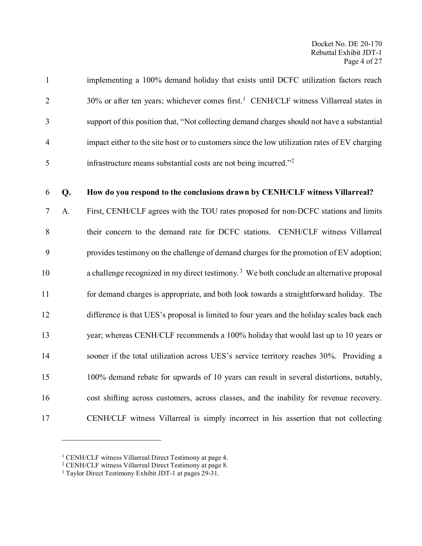| $\mathbf{1}$   |    | implementing a 100% demand holiday that exists until DCFC utilization factors reach                  |
|----------------|----|------------------------------------------------------------------------------------------------------|
| $\overline{2}$ |    | $30\%$ or after ten years; whichever comes first. <sup>1</sup> CENH/CLF witness Villarreal states in |
| 3              |    | support of this position that, "Not collecting demand charges should not have a substantial          |
| $\overline{4}$ |    | impact either to the site host or to customers since the low utilization rates of EV charging        |
| 5              |    | infrastructure means substantial costs are not being incurred." <sup>2</sup>                         |
| 6              | Q. | How do you respond to the conclusions drawn by CENH/CLF witness Villarreal?                          |
| $\tau$         | A. | First, CENH/CLF agrees with the TOU rates proposed for non-DCFC stations and limits                  |
| 8              |    | their concern to the demand rate for DCFC stations. CENH/CLF witness Villarreal                      |
| 9              |    | provides testimony on the challenge of demand charges for the promotion of EV adoption;              |
| 10             |    | a challenge recognized in my direct testimony. <sup>3</sup> We both conclude an alternative proposal |
| 11             |    | for demand charges is appropriate, and both look towards a straightforward holiday. The              |
| 12             |    | difference is that UES's proposal is limited to four years and the holiday scales back each          |
| 13             |    | year; whereas CENH/CLF recommends a 100% holiday that would last up to 10 years or                   |
| 14             |    | sooner if the total utilization across UES's service territory reaches 30%. Providing a              |
| 15             |    | 100% demand rebate for upwards of 10 years can result in several distortions, notably,               |
| 16             |    | cost shifting across customers, across classes, and the inability for revenue recovery.              |
| 17             |    | CENH/CLF witness Villarreal is simply incorrect in his assertion that not collecting                 |

<span id="page-5-0"></span><sup>&</sup>lt;sup>1</sup> CENH/CLF witness Villarreal Direct Testimony at page 4.

<span id="page-5-1"></span><sup>&</sup>lt;sup>2</sup> CENH/CLF witness Villarreal Direct Testimony at page 8.

<span id="page-5-2"></span><sup>&</sup>lt;sup>3</sup> Taylor Direct Testimony Exhibit JDT-1 at pages 29-31.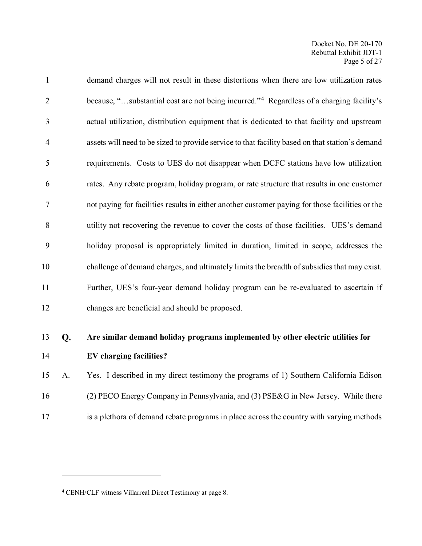| 1 <sub>A</sub> |    | $\mathbf{E} \mathbf{V}$ , is a set of $\mathbf{r}$ , $\mathbf{r}$ , $\mathbf{r}$ , $\mathbf{r}$ , $\mathbf{r}$ |
|----------------|----|----------------------------------------------------------------------------------------------------------------|
| 13             | Q. | Are similar demand holiday programs implemented by other electric utilities for                                |
| 12             |    | changes are beneficial and should be proposed.                                                                 |
| 11             |    | Further, UES's four-year demand holiday program can be re-evaluated to ascertain if                            |
| 10             |    | challenge of demand charges, and ultimately limits the breadth of subsidies that may exist.                    |
| 9              |    | holiday proposal is appropriately limited in duration, limited in scope, addresses the                         |
| 8              |    | utility not recovering the revenue to cover the costs of those facilities. UES's demand                        |
| $\tau$         |    | not paying for facilities results in either another customer paying for those facilities or the                |
| 6              |    | rates. Any rebate program, holiday program, or rate structure that results in one customer                     |
| 5              |    | requirements. Costs to UES do not disappear when DCFC stations have low utilization                            |
| $\overline{4}$ |    | assets will need to be sized to provide service to that facility based on that station's demand                |
| 3              |    | actual utilization, distribution equipment that is dedicated to that facility and upstream                     |
| $\overline{2}$ |    | because, "substantial cost are not being incurred." <sup>4</sup> Regardless of a charging facility's           |
| $\mathbf{1}$   |    | demand charges will not result in these distortions when there are low utilization rates                       |

 $\overline{a}$ 

### **EV charging facilities?**

 A. Yes. I described in my direct testimony the programs of 1) Southern California Edison (2) PECO Energy Company in Pennsylvania, and (3) PSE&G in New Jersey. While there is a plethora of demand rebate programs in place across the country with varying methods

<span id="page-6-0"></span>CENH/CLF witness Villarreal Direct Testimony at page 8.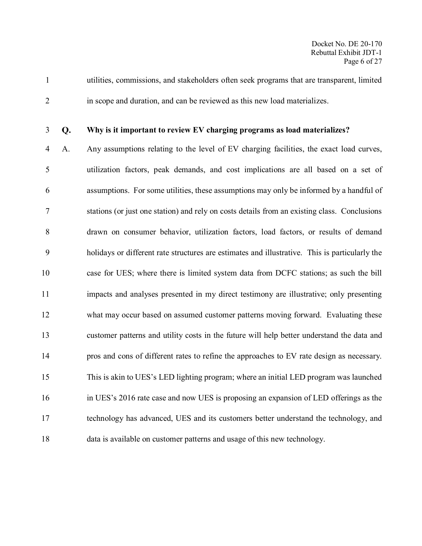utilities, commissions, and stakeholders often seek programs that are transparent, limited in scope and duration, and can be reviewed as this new load materializes.

### **Why is it important to review EV charging programs as load materializes?**

 A. Any assumptions relating to the level of EV charging facilities, the exact load curves, utilization factors, peak demands, and cost implications are all based on a set of assumptions. For some utilities, these assumptions may only be informed by a handful of stations (or just one station) and rely on costs details from an existing class. Conclusions drawn on consumer behavior, utilization factors, load factors, or results of demand holidays or different rate structures are estimates and illustrative. This is particularly the case for UES; where there is limited system data from DCFC stations; as such the bill impacts and analyses presented in my direct testimony are illustrative; only presenting what may occur based on assumed customer patterns moving forward. Evaluating these customer patterns and utility costs in the future will help better understand the data and pros and cons of different rates to refine the approaches to EV rate design as necessary. This is akin to UES's LED lighting program; where an initial LED program was launched in UES's 2016 rate case and now UES is proposing an expansion of LED offerings as the technology has advanced, UES and its customers better understand the technology, and data is available on customer patterns and usage of this new technology.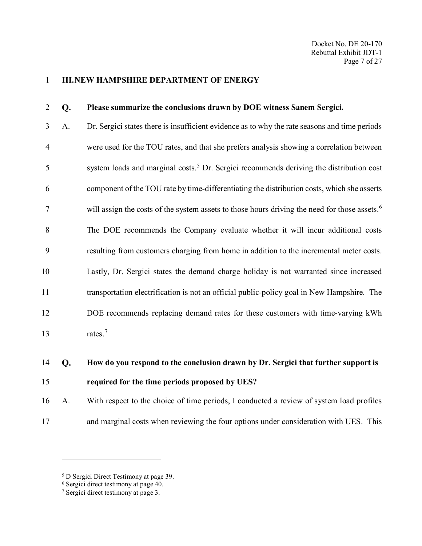#### <span id="page-8-0"></span>**III.NEW HAMPSHIRE DEPARTMENT OF ENERGY**

### **Please summarize the conclusions drawn by DOE witness Sanem Sergici.**

 A. Dr. Sergici states there is insufficient evidence as to why the rate seasons and time periods were used for the TOU rates, and that she prefers analysis showing a correlation between system loads and marginal costs.[5](#page-8-1) Dr. Sergici recommends deriving the distribution cost component of the TOU rate by time-differentiating the distribution costs, which she asserts  $\gamma$  will assign the costs of the system assets to those hours driving the need for those assets.<sup>[6](#page-8-2)</sup> The DOE recommends the Company evaluate whether it will incur additional costs resulting from customers charging from home in addition to the incremental meter costs. Lastly, Dr. Sergici states the demand charge holiday is not warranted since increased transportation electrification is not an official public-policy goal in New Hampshire. The DOE recommends replacing demand rates for these customers with time-varying kWh 13 rates.<sup>[7](#page-8-3)</sup>

### **How do you respond to the conclusion drawn by Dr. Sergici that further support is required for the time periods proposed by UES?**

 A. With respect to the choice of time periods, I conducted a review of system load profiles and marginal costs when reviewing the four options under consideration with UES. This

<span id="page-8-1"></span>D Sergici Direct Testimony at page 39.

<span id="page-8-2"></span>Sergici direct testimony at page 40.

<span id="page-8-3"></span>Sergici direct testimony at page 3.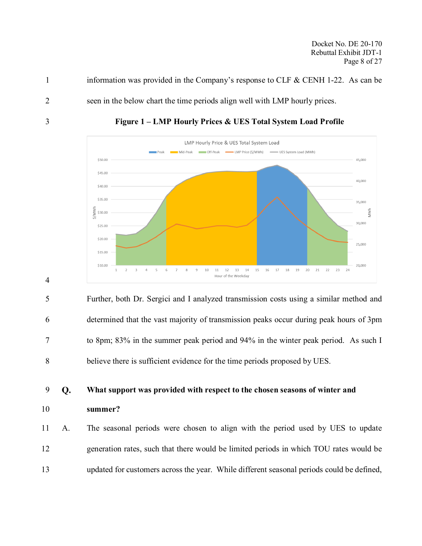Docket No. DE 20-170 Rebuttal Exhibit JDT-1 Page 8 of 27

information was provided in the Company's response to CLF & CENH 1-22. As can be

seen in the below chart the time periods align well with LMP hourly prices.



**Figure 1 – LMP Hourly Prices & UES Total System Load Profile**

 Further, both Dr. Sergici and I analyzed transmission costs using a similar method and determined that the vast majority of transmission peaks occur during peak hours of 3pm to 8pm; 83% in the summer peak period and 94% in the winter peak period. As such I believe there is sufficient evidence for the time periods proposed by UES.

**What support was provided with respect to the chosen seasons of winter and** 

**summer?**

 A. The seasonal periods were chosen to align with the period used by UES to update generation rates, such that there would be limited periods in which TOU rates would be updated for customers across the year. While different seasonal periods could be defined,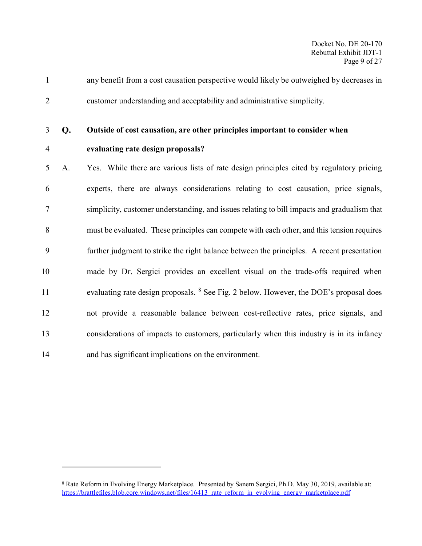- any benefit from a cost causation perspective would likely be outweighed by decreases in customer understanding and acceptability and administrative simplicity.
- 

### **Outside of cost causation, are other principles important to consider when**

 $\overline{a}$ 

### **evaluating rate design proposals?**

 A. Yes. While there are various lists of rate design principles cited by regulatory pricing experts, there are always considerations relating to cost causation, price signals, simplicity, customer understanding, and issues relating to bill impacts and gradualism that must be evaluated. These principles can compete with each other, and this tension requires further judgment to strike the right balance between the principles. A recent presentation made by Dr. Sergici provides an excellent visual on the trade-offs required when 11 evaluating rate design proposals. <sup>[8](#page-10-0)</sup> See Fig. 2 below. However, the DOE's proposal does not provide a reasonable balance between cost-reflective rates, price signals, and considerations of impacts to customers, particularly when this industry is in its infancy and has significant implications on the environment.

<span id="page-10-0"></span> Rate Reform in Evolving Energy Marketplace. Presented by Sanem Sergici, Ph.D. May 30, 2019, available at: [https://brattlefiles.blob.core.windows.net/files/16413\\_rate\\_reform\\_in\\_evolving\\_energy\\_marketplace.pdf](https://brattlefiles.blob.core.windows.net/files/16413_rate_reform_in_evolving_energy_marketplace.pdf)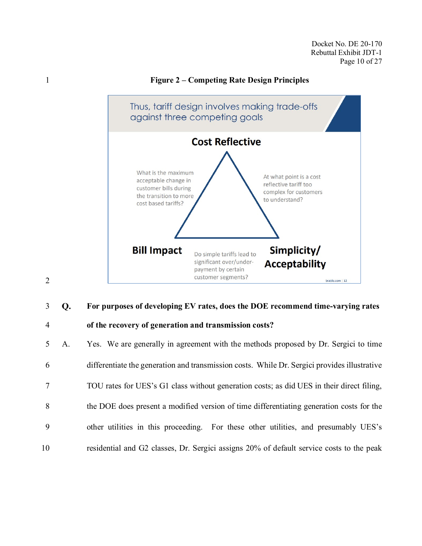### **Figure 2 – Competing Rate Design Principles**



### **For purposes of developing EV rates, does the DOE recommend time-varying rates**

### **of the recovery of generation and transmission costs?**

 A. Yes. We are generally in agreement with the methods proposed by Dr. Sergici to time differentiate the generation and transmission costs. While Dr. Sergici provides illustrative TOU rates for UES's G1 class without generation costs; as did UES in their direct filing, the DOE does present a modified version of time differentiating generation costs for the other utilities in this proceeding. For these other utilities, and presumably UES's residential and G2 classes, Dr. Sergici assigns 20% of default service costs to the peak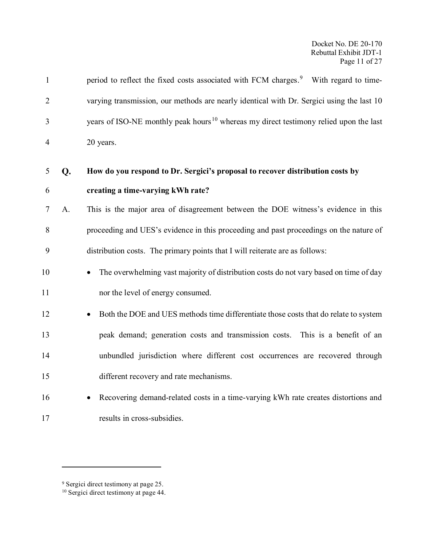| $\mathbf{1}$   |    | period to reflect the fixed costs associated with FCM charges. <sup>9</sup> With regard to time-  |
|----------------|----|---------------------------------------------------------------------------------------------------|
| $\overline{2}$ |    | varying transmission, our methods are nearly identical with Dr. Sergici using the last 10         |
| 3              |    | years of ISO-NE monthly peak hours <sup>10</sup> whereas my direct testimony relied upon the last |
| $\overline{4}$ |    | 20 years.                                                                                         |
| 5              | Q. | How do you respond to Dr. Sergici's proposal to recover distribution costs by                     |
| 6              |    | creating a time-varying kWh rate?                                                                 |
| $\tau$         | A. | This is the major area of disagreement between the DOE witness's evidence in this                 |
| 8              |    | proceeding and UES's evidence in this proceeding and past proceedings on the nature of            |
| 9              |    | distribution costs. The primary points that I will reiterate are as follows:                      |
| 10             |    | The overwhelming vast majority of distribution costs do not vary based on time of day             |
| 11             |    | nor the level of energy consumed.                                                                 |
| 12             |    | Both the DOE and UES methods time differentiate those costs that do relate to system              |
| 13             |    | peak demand; generation costs and transmission costs. This is a benefit of an                     |
| 14             |    | unbundled jurisdiction where different cost occurrences are recovered through                     |
| 15             |    | different recovery and rate mechanisms.                                                           |
| 16             |    | Recovering demand-related costs in a time-varying kWh rate creates distortions and                |
| 17             |    | results in cross-subsidies.                                                                       |

<span id="page-12-0"></span><sup>&</sup>lt;sup>9</sup> Sergici direct testimony at page 25.

<span id="page-12-1"></span><sup>&</sup>lt;sup>10</sup> Sergici direct testimony at page 44.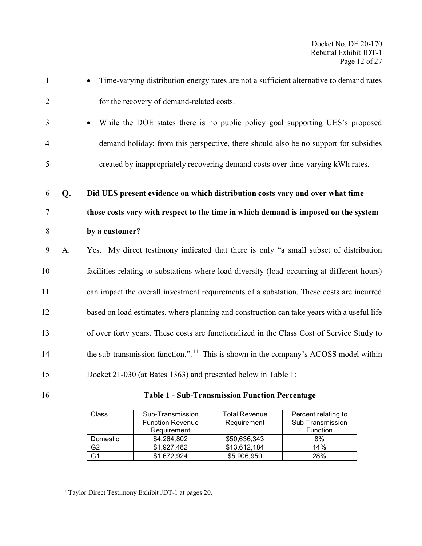| $\mathbf{1}$   |    | Time-varying distribution energy rates are not a sufficient alternative to demand rates          |
|----------------|----|--------------------------------------------------------------------------------------------------|
| $\overline{2}$ |    | for the recovery of demand-related costs.                                                        |
| 3              |    | While the DOE states there is no public policy goal supporting UES's proposed                    |
| $\overline{4}$ |    | demand holiday; from this perspective, there should also be no support for subsidies             |
| 5              |    | created by inappropriately recovering demand costs over time-varying kWh rates.                  |
| 6              | Q. | Did UES present evidence on which distribution costs vary and over what time                     |
| 7              |    | those costs vary with respect to the time in which demand is imposed on the system               |
| 8              |    | by a customer?                                                                                   |
| 9              | A. | Yes. My direct testimony indicated that there is only "a small subset of distribution            |
| 10             |    | facilities relating to substations where load diversity (load occurring at different hours)      |
| 11             |    | can impact the overall investment requirements of a substation. These costs are incurred         |
| 12             |    | based on load estimates, where planning and construction can take years with a useful life       |
| 13             |    | of over forty years. These costs are functionalized in the Class Cost of Service Study to        |
| 14             |    | the sub-transmission function.". <sup>11</sup> This is shown in the company's ACOSS model within |
| 15             |    | Docket 21-030 (at Bates 1363) and presented below in Table 1:                                    |

<span id="page-13-0"></span>

 $\overline{a}$ 

16 **Table 1 - Sub-Transmission Function Percentage**

| Class    | Sub-Transmission        | <b>Total Revenue</b> | Percent relating to |
|----------|-------------------------|----------------------|---------------------|
|          | <b>Function Revenue</b> | Requirement          | Sub-Transmission    |
|          | Requirement             |                      | Function            |
| Domestic | \$4,264,802             | \$50,636,343         | 8%                  |
| G2       | \$1,927,482             | \$13,612,184         | 14%                 |
| G1       | \$1,672,924             | \$5,906,950          | 28%                 |

<span id="page-13-1"></span><sup>&</sup>lt;sup>11</sup> Taylor Direct Testimony Exhibit JDT-1 at pages 20.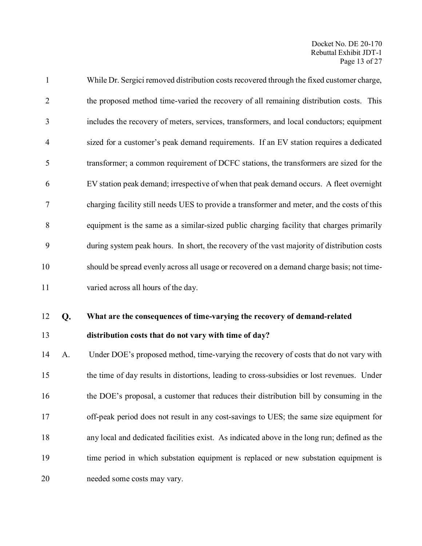| $\mathbf{1}$   |    | While Dr. Sergici removed distribution costs recovered through the fixed customer charge,    |
|----------------|----|----------------------------------------------------------------------------------------------|
| $\overline{2}$ |    | the proposed method time-varied the recovery of all remaining distribution costs. This       |
| 3              |    | includes the recovery of meters, services, transformers, and local conductors; equipment     |
| $\overline{4}$ |    | sized for a customer's peak demand requirements. If an EV station requires a dedicated       |
| 5              |    | transformer; a common requirement of DCFC stations, the transformers are sized for the       |
| 6              |    | EV station peak demand; irrespective of when that peak demand occurs. A fleet overnight      |
| $\tau$         |    | charging facility still needs UES to provide a transformer and meter, and the costs of this  |
| 8              |    | equipment is the same as a similar-sized public charging facility that charges primarily     |
| 9              |    | during system peak hours. In short, the recovery of the vast majority of distribution costs  |
| 10             |    | should be spread evenly across all usage or recovered on a demand charge basis; not time-    |
| 11             |    | varied across all hours of the day.                                                          |
| 12             | Q. | What are the consequences of time-varying the recovery of demand-related                     |
| 13             |    | distribution costs that do not vary with time of day?                                        |
| 14             | A. | Under DOE's proposed method, time-varying the recovery of costs that do not vary with        |
| 15             |    | the time of day results in distortions, leading to cross-subsidies or lost revenues. Under   |
| 16             |    | the DOE's proposal, a customer that reduces their distribution bill by consuming in the      |
| 17             |    | off-peak period does not result in any cost-savings to UES; the same size equipment for      |
| 18             |    | any local and dedicated facilities exist. As indicated above in the long run; defined as the |
| 19             |    | time period in which substation equipment is replaced or new substation equipment is         |

needed some costs may vary.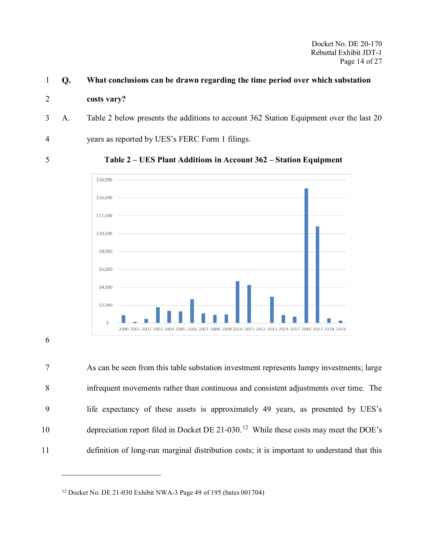#### **What conclusions can be drawn regarding the time period over which substation**

#### **costs vary?**

A. [Table 2](#page-15-0) below presents the additions to account 362 Station Equipment over the last 20

years as reported by UES's FERC Form 1 filings.

<span id="page-15-0"></span>

**Table 2 – UES Plant Additions in Account 362 – Station Equipment**



### 

 As can be seen from this table substation investment represents lumpy investments; large infrequent movements rather than continuous and consistent adjustments over time. The life expectancy of these assets is approximately 49 years, as presented by UES's 10 depreciation report filed in Docket DE 21-030.<sup>[12](#page-15-1)</sup> While these costs may meet the DOE's definition of long-run marginal distribution costs; it is important to understand that this

<span id="page-15-1"></span>

Docket No. DE 21-030 Exhibit NWA-3 Page 49 of 195 (bates 001704)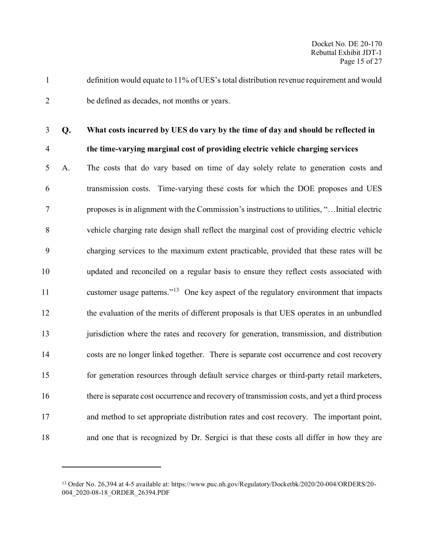definition would equate to 11% of UES's total distribution revenue requirement and would be defined as decades, not months or years.

 $\overline{a}$ 

### **What costs incurred by UES do vary by the time of day and should be reflected in the time-varying marginal cost of providing electric vehicle charging services**

# A. The costs that do vary based on time of day solely relate to generation costs and transmission costs. Time-varying these costs for which the DOE proposes and UES proposes is in alignment with the Commission's instructions to utilities, "…Initial electric vehicle charging rate design shall reflect the marginal cost of providing electric vehicle charging services to the maximum extent practicable, provided that these rates will be updated and reconciled on a regular basis to ensure they reflect costs associated with 11 customer usage patterns."<sup>[13](#page-16-0)</sup> One key aspect of the regulatory environment that impacts the evaluation of the merits of different proposals is that UES operates in an unbundled 13 jurisdiction where the rates and recovery for generation, transmission, and distribution costs are no longer linked together. There is separate cost occurrence and cost recovery for generation resources through default service charges or third-party retail marketers, there is separate cost occurrence and recovery of transmission costs, and yet a third process and method to set appropriate distribution rates and cost recovery. The important point, and one that is recognized by Dr. Sergici is that these costs all differ in how they are

<span id="page-16-0"></span> Order No. 26,394 at 4-5 available at: https://www.puc.nh.gov/Regulatory/Docketbk/2020/20-004/ORDERS/20- 004\_2020-08-18\_ORDER\_26394.PDF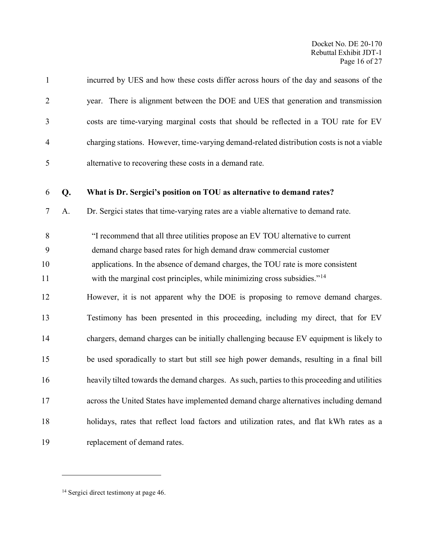| $\mathbf{1}$   |    | incurred by UES and how these costs differ across hours of the day and seasons of the                                                                                  |
|----------------|----|------------------------------------------------------------------------------------------------------------------------------------------------------------------------|
| $\overline{2}$ |    | year. There is alignment between the DOE and UES that generation and transmission                                                                                      |
| 3              |    | costs are time-varying marginal costs that should be reflected in a TOU rate for EV                                                                                    |
| $\overline{4}$ |    | charging stations. However, time-varying demand-related distribution costs is not a viable                                                                             |
| 5              |    | alternative to recovering these costs in a demand rate.                                                                                                                |
| 6              | Q. | What is Dr. Sergici's position on TOU as alternative to demand rates?                                                                                                  |
| 7              | A. | Dr. Sergici states that time-varying rates are a viable alternative to demand rate.                                                                                    |
| 8<br>9         |    | "I recommend that all three utilities propose an EV TOU alternative to current<br>demand charge based rates for high demand draw commercial customer                   |
| 10<br>11       |    | applications. In the absence of demand charges, the TOU rate is more consistent<br>with the marginal cost principles, while minimizing cross subsidies." <sup>14</sup> |
| 12             |    | However, it is not apparent why the DOE is proposing to remove demand charges.                                                                                         |
| 13             |    | Testimony has been presented in this proceeding, including my direct, that for EV                                                                                      |
| 14             |    | chargers, demand charges can be initially challenging because EV equipment is likely to                                                                                |
| 15             |    | be used sporadically to start but still see high power demands, resulting in a final bill                                                                              |
| 16             |    | heavily tilted towards the demand charges. As such, parties to this proceeding and utilities                                                                           |
| 17             |    | across the United States have implemented demand charge alternatives including demand                                                                                  |
| 18             |    | holidays, rates that reflect load factors and utilization rates, and flat kWh rates as a                                                                               |
| 19             |    | replacement of demand rates.                                                                                                                                           |

<span id="page-17-0"></span><sup>&</sup>lt;sup>14</sup> Sergici direct testimony at page 46.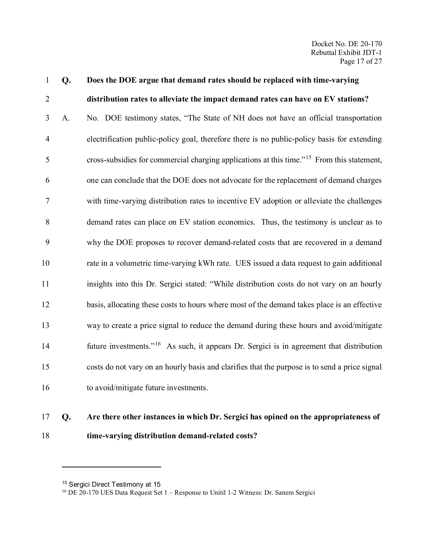| $\mathbf{1}$   | Q. | Does the DOE argue that demand rates should be replaced with time-varying                              |
|----------------|----|--------------------------------------------------------------------------------------------------------|
| $\overline{2}$ |    | distribution rates to alleviate the impact demand rates can have on EV stations?                       |
| 3              | A. | No. DOE testimony states, "The State of NH does not have an official transportation                    |
| $\overline{4}$ |    | electrification public-policy goal, therefore there is no public-policy basis for extending            |
| 5              |    | cross-subsidies for commercial charging applications at this time." <sup>15</sup> From this statement, |
| 6              |    | one can conclude that the DOE does not advocate for the replacement of demand charges                  |
| $\tau$         |    | with time-varying distribution rates to incentive EV adoption or alleviate the challenges              |
| 8              |    | demand rates can place on EV station economics. Thus, the testimony is unclear as to                   |
| 9              |    | why the DOE proposes to recover demand-related costs that are recovered in a demand                    |
| 10             |    | rate in a volumetric time-varying kWh rate. UES issued a data request to gain additional               |
| 11             |    | insights into this Dr. Sergici stated: "While distribution costs do not vary on an hourly              |
| 12             |    | basis, allocating these costs to hours where most of the demand takes place is an effective            |
| 13             |    | way to create a price signal to reduce the demand during these hours and avoid/mitigate                |
| 14             |    | future investments." <sup>16</sup> As such, it appears Dr. Sergici is in agreement that distribution   |
| 15             |    | costs do not vary on an hourly basis and clarifies that the purpose is to send a price signal          |
| 16             |    | to avoid/mitigate future investments.                                                                  |
|                |    |                                                                                                        |

## **Are there other instances in which Dr. Sergici has opined on the appropriateness of time-varying distribution demand-related costs?**

<span id="page-18-0"></span><sup>&</sup>lt;sup>15</sup> Sergici Direct Testimony at 15

<span id="page-18-1"></span>DE 20-170 UES Data Request Set 1 – Response to Unitil 1-2 Witness: Dr. Sanem Sergici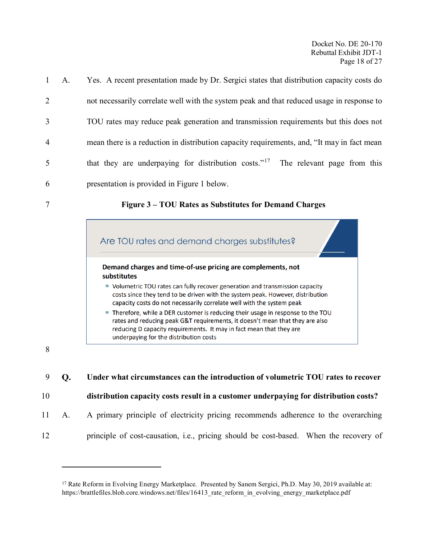| $\mathbf{1}$   | A. | Yes. A recent presentation made by Dr. Sergici states that distribution capacity costs do       |
|----------------|----|-------------------------------------------------------------------------------------------------|
| $\overline{2}$ |    | not necessarily correlate well with the system peak and that reduced usage in response to       |
| $\overline{3}$ |    | TOU rates may reduce peak generation and transmission requirements but this does not            |
| $\overline{4}$ |    | mean there is a reduction in distribution capacity requirements, and, "It may in fact mean      |
| 5              |    | that they are underpaying for distribution costs." <sup>17</sup><br>The relevant page from this |
| 6              |    | presentation is provided in Figure 1 below.                                                     |
| $\overline{7}$ |    | Figure 3 – TOU Rates as Substitutes for Demand Charges                                          |

<span id="page-19-0"></span>

 $\overline{a}$ 

**Under what circumstances can the introduction of volumetric TOU rates to recover** 

**distribution capacity costs result in a customer underpaying for distribution costs?**

A. A primary principle of electricity pricing recommends adherence to the overarching

principle of cost-causation, i.e., pricing should be cost-based. When the recovery of

<span id="page-19-1"></span><sup>&</sup>lt;sup>17</sup> Rate Reform in Evolving Energy Marketplace. Presented by Sanem Sergici, Ph.D. May 30, 2019 available at: https://brattlefiles.blob.core.windows.net/files/16413\_rate\_reform\_in\_evolving\_energy\_marketplace.pdf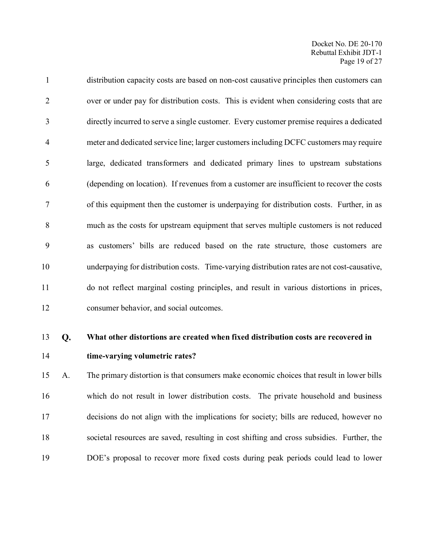| $\mathbf{1}$   | distribution capacity costs are based on non-cost causative principles then customers can   |
|----------------|---------------------------------------------------------------------------------------------|
| $\overline{2}$ | over or under pay for distribution costs. This is evident when considering costs that are   |
| 3              | directly incurred to serve a single customer. Every customer premise requires a dedicated   |
| $\overline{4}$ | meter and dedicated service line; larger customers including DCFC customers may require     |
| 5              | large, dedicated transformers and dedicated primary lines to upstream substations           |
| 6              | (depending on location). If revenues from a customer are insufficient to recover the costs  |
| $\overline{7}$ | of this equipment then the customer is underpaying for distribution costs. Further, in as   |
| 8              | much as the costs for upstream equipment that serves multiple customers is not reduced      |
| 9              | as customers' bills are reduced based on the rate structure, those customers are            |
| 10             | underpaying for distribution costs. Time-varying distribution rates are not cost-causative, |
| 11             | do not reflect marginal costing principles, and result in various distortions in prices,    |
| 12             | consumer behavior, and social outcomes.                                                     |

### **What other distortions are created when fixed distribution costs are recovered in time-varying volumetric rates?**

 A. The primary distortion is that consumers make economic choices that result in lower bills which do not result in lower distribution costs. The private household and business decisions do not align with the implications for society; bills are reduced, however no societal resources are saved, resulting in cost shifting and cross subsidies. Further, the DOE's proposal to recover more fixed costs during peak periods could lead to lower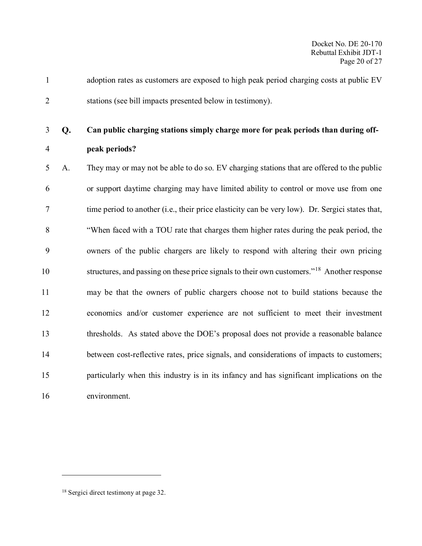adoption rates as customers are exposed to high peak period charging costs at public EV stations (see bill impacts presented below in testimony).

### **Can public charging stations simply charge more for peak periods than during off-peak periods?**

 A. They may or may not be able to do so. EV charging stations that are offered to the public or support daytime charging may have limited ability to control or move use from one time period to another (i.e., their price elasticity can be very low). Dr. Sergici states that, "When faced with a TOU rate that charges them higher rates during the peak period, the owners of the public chargers are likely to respond with altering their own pricing 10 structures, and passing on these price signals to their own customers."<sup>[18](#page-21-0)</sup> Another response may be that the owners of public chargers choose not to build stations because the economics and/or customer experience are not sufficient to meet their investment thresholds. As stated above the DOE's proposal does not provide a reasonable balance between cost-reflective rates, price signals, and considerations of impacts to customers; particularly when this industry is in its infancy and has significant implications on the environment.

<span id="page-21-0"></span>Sergici direct testimony at page 32.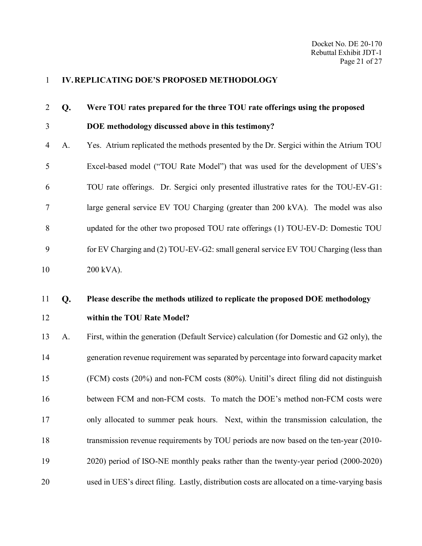### <span id="page-22-0"></span>**IV.REPLICATING DOE'S PROPOSED METHODOLOGY**

| $\overline{2}$ | Q. | Were TOU rates prepared for the three TOU rate offerings using the proposed                |
|----------------|----|--------------------------------------------------------------------------------------------|
| 3              |    | DOE methodology discussed above in this testimony?                                         |
| $\overline{4}$ | A. | Yes. Atrium replicated the methods presented by the Dr. Sergici within the Atrium TOU      |
| 5              |    | Excel-based model ("TOU Rate Model") that was used for the development of UES's            |
| 6              |    | TOU rate offerings. Dr. Sergici only presented illustrative rates for the TOU-EV-G1:       |
| $\tau$         |    | large general service EV TOU Charging (greater than 200 kVA). The model was also           |
| $8\,$          |    | updated for the other two proposed TOU rate offerings (1) TOU-EV-D: Domestic TOU           |
| 9              |    | for EV Charging and (2) TOU-EV-G2: small general service EV TOU Charging (less than        |
| 10             |    | 200 kVA).                                                                                  |
| 11             | Q. | Please describe the methods utilized to replicate the proposed DOE methodology             |
| 12             |    | within the TOU Rate Model?                                                                 |
| 13             | A. | First, within the generation (Default Service) calculation (for Domestic and G2 only), the |
| 14             |    | generation revenue requirement was separated by percentage into forward capacity market    |
| 15             |    | (FCM) costs (20%) and non-FCM costs (80%). Unitil's direct filing did not distinguish      |
| 16             |    | between FCM and non-FCM costs. To match the DOE's method non-FCM costs were                |
| 17             |    | only allocated to summer peak hours. Next, within the transmission calculation, the        |

- transmission revenue requirements by TOU periods are now based on the ten-year (2010-
- 2020) period of ISO-NE monthly peaks rather than the twenty-year period (2000-2020)
- used in UES's direct filing. Lastly, distribution costs are allocated on a time-varying basis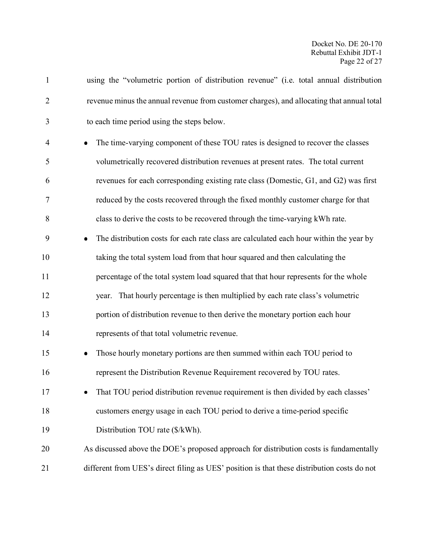| $\mathbf{1}$   | using the "volumetric portion of distribution revenue" (i.e. total annual distribution      |
|----------------|---------------------------------------------------------------------------------------------|
| $\overline{2}$ | revenue minus the annual revenue from customer charges), and allocating that annual total   |
| 3              | to each time period using the steps below.                                                  |
| $\overline{4}$ | The time-varying component of these TOU rates is designed to recover the classes            |
| 5              | volumetrically recovered distribution revenues at present rates. The total current          |
| 6              | revenues for each corresponding existing rate class (Domestic, G1, and G2) was first        |
| $\tau$         | reduced by the costs recovered through the fixed monthly customer charge for that           |
| 8              | class to derive the costs to be recovered through the time-varying kWh rate.                |
| 9              | The distribution costs for each rate class are calculated each hour within the year by      |
| 10             | taking the total system load from that hour squared and then calculating the                |
| 11             | percentage of the total system load squared that that hour represents for the whole         |
| 12             | That hourly percentage is then multiplied by each rate class's volumetric<br>year.          |
| 13             | portion of distribution revenue to then derive the monetary portion each hour               |
| 14             | represents of that total volumetric revenue.                                                |
| 15             | Those hourly monetary portions are then summed within each TOU period to                    |
| 16             | represent the Distribution Revenue Requirement recovered by TOU rates.                      |
| 17             | That TOU period distribution revenue requirement is then divided by each classes'           |
| 18             | customers energy usage in each TOU period to derive a time-period specific                  |
| 19             | Distribution TOU rate (\$/kWh).                                                             |
| 20             | As discussed above the DOE's proposed approach for distribution costs is fundamentally      |
| 21             | different from UES's direct filing as UES' position is that these distribution costs do not |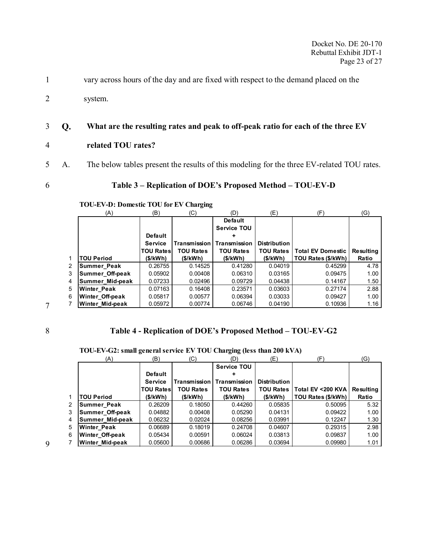1 vary across hours of the day and are fixed with respect to the demand placed on the

2 system.

### 3 **What are the resulting rates and peak to off-peak ratio for each of the three EV**

- 4 **related TOU rates?**
- 5 A. The below tables present the results of this modeling for the three EV-related TOU rates.

<span id="page-24-0"></span>

### 6 **Table 3 – Replication of DOE's Proposed Method – TOU-EV-D**

### **TOU-EV-D: Domestic TOU for EV Charging**

|   | (A)                    | (B)              | (C)              | (D)                | (E)                 | (F)                      | (G)       |
|---|------------------------|------------------|------------------|--------------------|---------------------|--------------------------|-----------|
|   |                        |                  |                  | <b>Default</b>     |                     |                          |           |
|   |                        |                  |                  | <b>Service TOU</b> |                     |                          |           |
|   |                        | <b>Default</b>   |                  |                    |                     |                          |           |
|   |                        | <b>Service</b>   | Transmission     | Transmission       | <b>Distribution</b> |                          |           |
|   |                        | <b>TOU Rates</b> | <b>TOU Rates</b> | <b>TOU Rates</b>   | <b>TOU Rates</b>    | <b>Total EV Domestic</b> | Resultina |
|   | <b>TOU Period</b>      | (\$/kWh)         | (\$/kWh)         | (\$/kWh)           | (\$/kWh)            | TOU Rates (\$/kWh)       | Ratio     |
| 2 | <b>Summer Peak</b>     | 0.26755          | 0.14525          | 0.41280            | 0.04019             | 0.45299                  | 4.78      |
| 3 | Summer Off-peak        | 0.05902          | 0.00408          | 0.06310            | 0.03165             | 0.09475                  | 1.00      |
| 4 | Summer Mid-peak        | 0.07233          | 0.02496          | 0.09729            | 0.04438             | 0.14167                  | 1.50      |
| 5 | <b>Winter Peak</b>     | 0.07163          | 0.16408          | 0.23571            | 0.03603             | 0.27174                  | 2.88      |
| 6 | <b>Winter Off-peak</b> | 0.05817          | 0.00577          | 0.06394            | 0.03033             | 0.09427                  | 1.00      |
|   | <b>Winter Mid-peak</b> | 0.05972          | 0.00774          | 0.06746            | 0.04190             | 0.10936                  | 1.16      |

7

### <span id="page-24-1"></span>8 **Table 4 - Replication of DOE's Proposed Method – TOU-EV-G2**

|   | (A)                    | (B)              | (C)                 | (D)                | (E)                 | (F                 | (G)       |
|---|------------------------|------------------|---------------------|--------------------|---------------------|--------------------|-----------|
|   |                        |                  |                     | <b>Service TOU</b> |                     |                    |           |
|   |                        | <b>Default</b>   |                     |                    |                     |                    |           |
|   |                        | <b>Service</b>   | <b>Transmission</b> | Transmission       | <b>Distribution</b> |                    |           |
|   |                        | <b>TOU Rates</b> | <b>TOU Rates</b>    | <b>TOU Rates</b>   | <b>TOU Rates</b>    | Total EV <200 KVA  | Resulting |
| 1 | <b>TOU Period</b>      | (\$/kWh)         | (S/KWh)             | (\$/kWh)           | (S/KWh)             | TOU Rates (\$/kWh) | Ratio     |
| 2 | <b>Summer Peak</b>     | 0.26209          | 0.18050             | 0.44260            | 0.05835             | 0.50095            | 5.32      |
| 3 | Summer Off-peak        | 0.04882          | 0.00408             | 0.05290            | 0.04131             | 0.09422            | 1.00      |
| 4 | Summer Mid-peak        | 0.06232          | 0.02024             | 0.08256            | 0.03991             | 0.12247            | 1.30      |
| 5 | <b>Winter Peak</b>     | 0.06689          | 0.18019             | 0.24708            | 0.04607             | 0.29315            | 2.98      |
| 6 | <b>Winter Off-peak</b> | 0.05434          | 0.00591             | 0.06024            | 0.03813             | 0.09837            | 1.00      |
| 7 | Winter Mid-peak        | 0.05600          | 0.00686             | 0.06286            | 0.03694             | 0.09980            | 1.01      |

**TOU-EV-G2: small general service EV TOU Charging (less than 200 kVA)**

9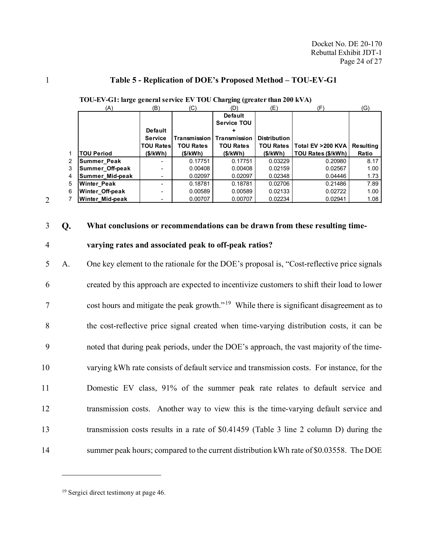### <span id="page-25-1"></span>1 **Table 5 - Replication of DOE's Proposed Method – TOU-EV-G1**

|                | (A)                    | (B)                      | (C)              | (D)                   | (E)                 | (F)                            | (G)       |
|----------------|------------------------|--------------------------|------------------|-----------------------|---------------------|--------------------------------|-----------|
|                |                        |                          |                  | <b>Default</b>        |                     |                                |           |
|                |                        |                          |                  | <b>Service TOU</b>    |                     |                                |           |
|                |                        | <b>Default</b>           |                  |                       |                     |                                |           |
|                |                        | <b>Service</b>           | Transmission     | <b>I Transmission</b> | <b>Distribution</b> |                                |           |
|                |                        | <b>TOU Rates</b>         | <b>TOU Rates</b> | <b>TOU Rates</b>      |                     | TOU Rates   Total EV > 200 KVA | Resulting |
|                | <b>TOU Period</b>      | (\$/kWh)                 | (\$/kWh)         | (\$/kWh)              | (\$/kWh)            | TOU Rates (\$/kWh)             | Ratio     |
| $\overline{2}$ | <b>Summer Peak</b>     | $\overline{\phantom{0}}$ | 0.17751          | 0.17751               | 0.03229             | 0.20980                        | 8.17      |
| 3              | <b>Summer Off-peak</b> |                          | 0.00408          | 0.00408               | 0.02159             | 0.02567                        | 1.00      |
| 4              | <b>Summer Mid-peak</b> |                          | 0.02097          | 0.02097               | 0.02348             | 0.04446                        | 1.73      |
| 5              | <b>Winter Peak</b>     |                          | 0.18781          | 0.18781               | 0.02706             | 0.21486                        | 7.89      |
| 6              | Winter Off-peak        |                          | 0.00589          | 0.00589               | 0.02133             | 0.02722                        | 1.00      |
|                | <b>Winter Mid-peak</b> |                          | 0.00707          | 0.00707               | 0.02234             | 0.02941                        | 1.08      |

| TOU-EV-G1: large general service EV TOU Charging (greater than 200 kVA) |  |  |  |
|-------------------------------------------------------------------------|--|--|--|
|                                                                         |  |  |  |

3 **What conclusions or recommendations can be drawn from these resulting time-**

2

### 4 **varying rates and associated peak to off-peak ratios?**

 A. One key element to the rationale for the DOE's proposal is, "Cost-reflective price signals created by this approach are expected to incentivize customers to shift their load to lower  $7 \text{ cost hours}$  and mitigate the peak growth."<sup>[19](#page-25-0)</sup> While there is significant disagreement as to the cost-reflective price signal created when time-varying distribution costs, it can be noted that during peak periods, under the DOE's approach, the vast majority of the time- varying kWh rate consists of default service and transmission costs. For instance, for the Domestic EV class, 91% of the summer peak rate relates to default service and transmission costs. Another way to view this is the time-varying default service and transmission costs results in a rate of \$0.41459 [\(Table 3](#page-24-0) line 2 column D) during the 14 summer peak hours; compared to the current distribution kWh rate of \$0.03558. The DOE

<span id="page-25-0"></span><sup>19</sup> Sergici direct testimony at page 46.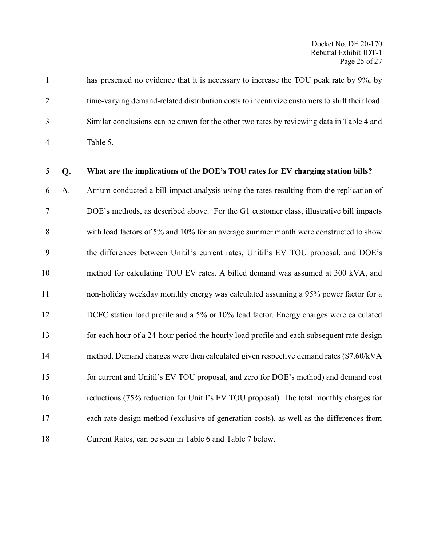|                | has presented no evidence that it is necessary to increase the TOU peak rate by 9%, by       |
|----------------|----------------------------------------------------------------------------------------------|
| 2              | time-varying demand-related distribution costs to incentivize customers to shift their load. |
| 3              | Similar conclusions can be drawn for the other two rates by reviewing data in Table 4 and    |
| $\overline{4}$ | Table 5.                                                                                     |

### **What are the implications of the DOE's TOU rates for EV charging station bills?**

 A. Atrium conducted a bill impact analysis using the rates resulting from the replication of DOE's methods, as described above. For the G1 customer class, illustrative bill impacts with load factors of 5% and 10% for an average summer month were constructed to show the differences between Unitil's current rates, Unitil's EV TOU proposal, and DOE's method for calculating TOU EV rates. A billed demand was assumed at 300 kVA, and non-holiday weekday monthly energy was calculated assuming a 95% power factor for a 12 DCFC station load profile and a 5% or 10% load factor. Energy charges were calculated for each hour of a 24-hour period the hourly load profile and each subsequent rate design method. Demand charges were then calculated given respective demand rates (\$7.60/kVA for current and Unitil's EV TOU proposal, and zero for DOE's method) and demand cost reductions (75% reduction for Unitil's EV TOU proposal). The total monthly charges for each rate design method (exclusive of generation costs), as well as the differences from Current Rates, can be seen in [Table 6](#page-27-0) and [Table 7](#page-27-1) below.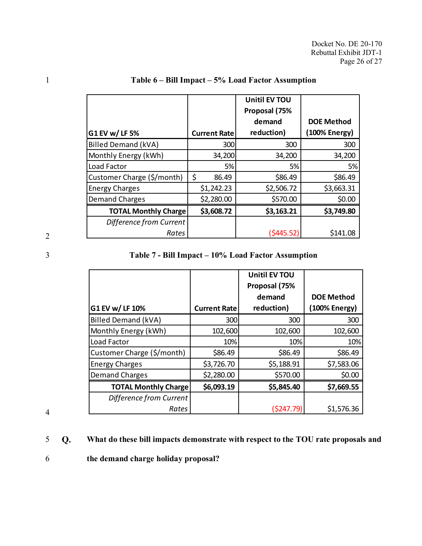| G1 EV w/LF 5%               | <b>Current Rate</b> | <b>Unitil EV TOU</b><br>Proposal (75%<br>demand<br>reduction) | <b>DOE Method</b><br>(100% Energy) |
|-----------------------------|---------------------|---------------------------------------------------------------|------------------------------------|
| Billed Demand (kVA)         | 300                 | 300                                                           | 300                                |
| Monthly Energy (kWh)        | 34,200              | 34,200                                                        | 34,200                             |
| Load Factor                 | 5%                  | 5%                                                            | 5%                                 |
| Customer Charge (\$/month)  | \$<br>86.49         | \$86.49                                                       | \$86.49                            |
| <b>Energy Charges</b>       | \$1,242.23          | \$2,506.72                                                    | \$3,663.31                         |
| <b>Demand Charges</b>       | \$2,280.00          | \$570.00                                                      | \$0.00                             |
| <b>TOTAL Monthly Charge</b> | \$3,608.72          | \$3,163.21                                                    | \$3,749.80                         |
| Difference from Current     |                     |                                                               |                                    |
| Rates                       |                     | (\$445.52)                                                    | \$141.08                           |

### <span id="page-27-0"></span>1 **Table 6 – Bill Impact – 5% Load Factor Assumption**

2

### <span id="page-27-1"></span>3 **Table 7 - Bill Impact – 10% Load Factor Assumption**

|                             |                     | <b>Unitil EV TOU</b><br>Proposal (75% |                   |
|-----------------------------|---------------------|---------------------------------------|-------------------|
|                             |                     | demand                                | <b>DOE Method</b> |
| G1 EV w/ LF 10%             | <b>Current Rate</b> | reduction)                            | (100% Energy)     |
| <b>Billed Demand (kVA)</b>  | 300                 | 300                                   | 300               |
| Monthly Energy (kWh)        | 102,600             | 102,600                               | 102,600           |
| Load Factor                 | 10%                 | 10%                                   | 10%               |
| Customer Charge (\$/month)  | \$86.49             | \$86.49                               | \$86.49           |
| <b>Energy Charges</b>       | \$3,726.70          | \$5,188.91                            | \$7,583.06        |
| <b>Demand Charges</b>       | \$2,280.00          | \$570.00                              | \$0.00            |
| <b>TOTAL Monthly Charge</b> | \$6,093.19          | \$5,845.40                            | \$7,669.55        |
| Difference from Current     |                     |                                       |                   |
| Rates                       |                     | (5247.79)                             | \$1,576.36        |

4

### 5 **What do these bill impacts demonstrate with respect to the TOU rate proposals and**

### 6 **the demand charge holiday proposal?**